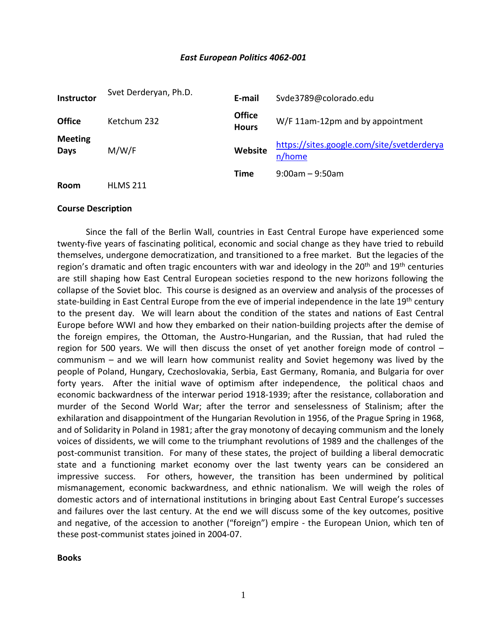## *East European Politics 4062-001*

| Instructor             | Svet Derderyan, Ph.D. | E-mail                        | Svde3789@colorado.edu                                |
|------------------------|-----------------------|-------------------------------|------------------------------------------------------|
| <b>Office</b>          | Ketchum 232           | <b>Office</b><br><b>Hours</b> | W/F 11am-12pm and by appointment                     |
| <b>Meeting</b><br>Days | M/W/F                 | Website                       | https://sites.google.com/site/svetderderya<br>n/home |
| <b>Room</b>            | <b>HLMS 211</b>       | <b>Time</b>                   | $9:00$ am – 9:50am                                   |

#### **Course Description**

Since the fall of the Berlin Wall, countries in East Central Europe have experienced some twenty-five years of fascinating political, economic and social change as they have tried to rebuild themselves, undergone democratization, and transitioned to a free market. But the legacies of the region's dramatic and often tragic encounters with war and ideology in the  $20<sup>th</sup>$  and  $19<sup>th</sup>$  centuries are still shaping how East Central European societies respond to the new horizons following the collapse of the Soviet bloc. This course is designed as an overview and analysis of the processes of state-building in East Central Europe from the eve of imperial independence in the late 19<sup>th</sup> century to the present day. We will learn about the condition of the states and nations of East Central Europe before WWI and how they embarked on their nation-building projects after the demise of the foreign empires, the Ottoman, the Austro-Hungarian, and the Russian, that had ruled the region for 500 years. We will then discuss the onset of yet another foreign mode of control – communism – and we will learn how communist reality and Soviet hegemony was lived by the people of Poland, Hungary, Czechoslovakia, Serbia, East Germany, Romania, and Bulgaria for over forty years. After the initial wave of optimism after independence, the political chaos and economic backwardness of the interwar period 1918-1939; after the resistance, collaboration and murder of the Second World War; after the terror and senselessness of Stalinism; after the exhilaration and disappointment of the Hungarian Revolution in 1956, of the Prague Spring in 1968, and of Solidarity in Poland in 1981; after the gray monotony of decaying communism and the lonely voices of dissidents, we will come to the triumphant revolutions of 1989 and the challenges of the post-communist transition. For many of these states, the project of building a liberal democratic state and a functioning market economy over the last twenty years can be considered an impressive success. For others, however, the transition has been undermined by political mismanagement, economic backwardness, and ethnic nationalism. We will weigh the roles of domestic actors and of international institutions in bringing about East Central Europe's successes and failures over the last century. At the end we will discuss some of the key outcomes, positive and negative, of the accession to another ("foreign") empire - the European Union, which ten of these post-communist states joined in 2004-07.

**Books**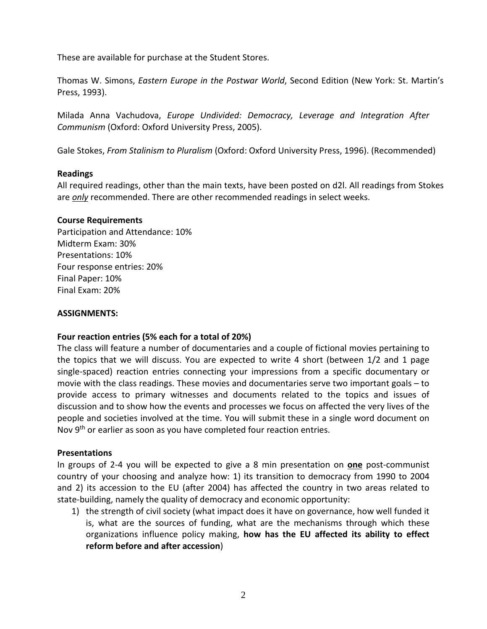These are available for purchase at the Student Stores.

Thomas W. Simons, *Eastern Europe in the Postwar World*, Second Edition (New York: St. Martin's Press, 1993).

Milada Anna Vachudova, *Europe Undivided: Democracy, Leverage and Integration After Communism* (Oxford: Oxford University Press, 2005).

Gale Stokes, *From Stalinism to Pluralism* (Oxford: Oxford University Press, 1996). (Recommended)

## **Readings**

All required readings, other than the main texts, have been posted on d2l. All readings from Stokes are *only* recommended. There are other recommended readings in select weeks.

# **Course Requirements**

Participation and Attendance: 10% Midterm Exam: 30% Presentations: 10% Four response entries: 20% Final Paper: 10% Final Exam: 20%

## **ASSIGNMENTS:**

# **Four reaction entries (5% each for a total of 20%)**

The class will feature a number of documentaries and a couple of fictional movies pertaining to the topics that we will discuss. You are expected to write 4 short (between 1/2 and 1 page single-spaced) reaction entries connecting your impressions from a specific documentary or movie with the class readings. These movies and documentaries serve two important goals – to provide access to primary witnesses and documents related to the topics and issues of discussion and to show how the events and processes we focus on affected the very lives of the people and societies involved at the time. You will submit these in a single word document on Nov 9<sup>th</sup> or earlier as soon as you have completed four reaction entries.

## **Presentations**

In groups of 2-4 you will be expected to give a 8 min presentation on **one** post-communist country of your choosing and analyze how: 1) its transition to democracy from 1990 to 2004 and 2) its accession to the EU (after 2004) has affected the country in two areas related to state-building, namely the quality of democracy and economic opportunity:

1) the strength of civil society (what impact does it have on governance, how well funded it is, what are the sources of funding, what are the mechanisms through which these organizations influence policy making, **how has the EU affected its ability to effect reform before and after accession**)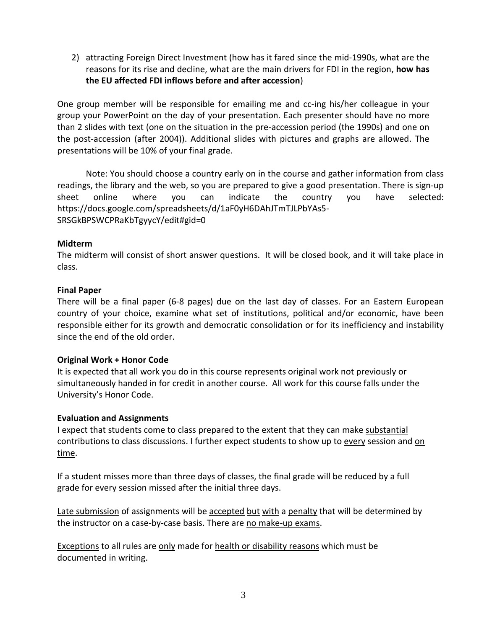2) attracting Foreign Direct Investment (how has it fared since the mid-1990s, what are the reasons for its rise and decline, what are the main drivers for FDI in the region, **how has the EU affected FDI inflows before and after accession**)

One group member will be responsible for emailing me and cc-ing his/her colleague in your group your PowerPoint on the day of your presentation. Each presenter should have no more than 2 slides with text (one on the situation in the pre-accession period (the 1990s) and one on the post-accession (after 2004)). Additional slides with pictures and graphs are allowed. The presentations will be 10% of your final grade.

Note: You should choose a country early on in the course and gather information from class readings, the library and the web, so you are prepared to give a good presentation. There is sign-up sheet online where you can indicate the country you have selected: https://docs.google.com/spreadsheets/d/1aF0yH6DAhJTmTJLPbYAs5- SRSGkBPSWCPRaKbTgyycY/edit#gid=0

# **Midterm**

The midterm will consist of short answer questions. It will be closed book, and it will take place in class.

# **Final Paper**

There will be a final paper (6-8 pages) due on the last day of classes. For an Eastern European country of your choice, examine what set of institutions, political and/or economic, have been responsible either for its growth and democratic consolidation or for its inefficiency and instability since the end of the old order.

# **Original Work + Honor Code**

It is expected that all work you do in this course represents original work not previously or simultaneously handed in for credit in another course. All work for this course falls under the University's Honor Code.

# **Evaluation and Assignments**

I expect that students come to class prepared to the extent that they can make substantial contributions to class discussions. I further expect students to show up to every session and on time.

If a student misses more than three days of classes, the final grade will be reduced by a full grade for every session missed after the initial three days.

Late submission of assignments will be accepted but with a penalty that will be determined by the instructor on a case-by-case basis. There are no make-up exams.

Exceptions to all rules are only made for health or disability reasons which must be documented in writing.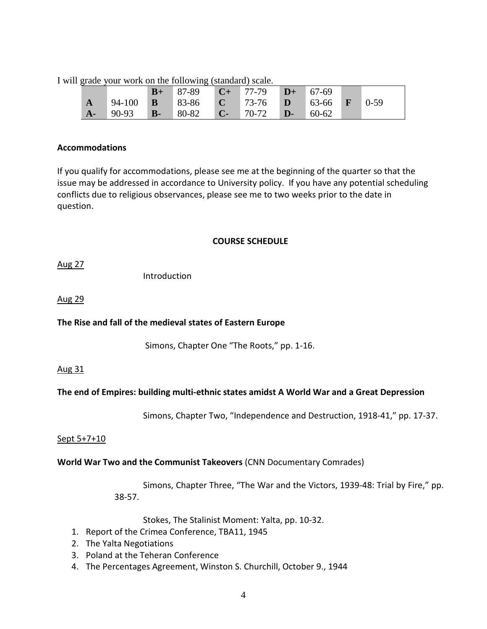|  |  |  |  | I will grade your work on the following (standard) scale. |  |  |
|--|--|--|--|-----------------------------------------------------------|--|--|
|  |  |  |  |                                                           |  |  |

|              |                                                                     | $B+$ |  | $87-89$ $C+ 77-79$ $D+$ | $67-69$ |  |
|--------------|---------------------------------------------------------------------|------|--|-------------------------|---------|--|
| $\mathbf{A}$ | $94-100$ <b>B</b> 83-86 <b>C</b> 73-76 <b>D</b> 63-66 <b>F</b> 0-59 |      |  |                         |         |  |
| $A-$         | $90-93$ <b>B</b> - $80-82$ <b>C</b> - $70-72$ <b>D</b> -            |      |  |                         | $60-62$ |  |

# **Accommodations**

If you qualify for accommodations, please see me at the beginning of the quarter so that the issue may be addressed in accordance to University policy. If you have any potential scheduling conflicts due to religious observances, please see me to two weeks prior to the date in question.

# **COURSE SCHEDULE**

Aug 27

Introduction

Aug 29

# **The Rise and fall of the medieval states of Eastern Europe**

Simons, Chapter One "The Roots," pp. 1-16.

# Aug 31

# **The end of Empires: building multi-ethnic states amidst A World War and a Great Depression**

Simons, Chapter Two, "Independence and Destruction, 1918-41," pp. 17-37.

# Sept 5+7+10

# **World War Two and the Communist Takeovers** (CNN Documentary Comrades)

Simons, Chapter Three, "The War and the Victors, 1939-48: Trial by Fire," pp. 38-57.

Stokes, The Stalinist Moment: Yalta, pp. 10-32.

- 1. Report of the Crimea Conference, TBA11, 1945
- 2. The Yalta Negotiations
- 3. Poland at the Teheran Conference
- 4. The Percentages Agreement, Winston S. Churchill, October 9., 1944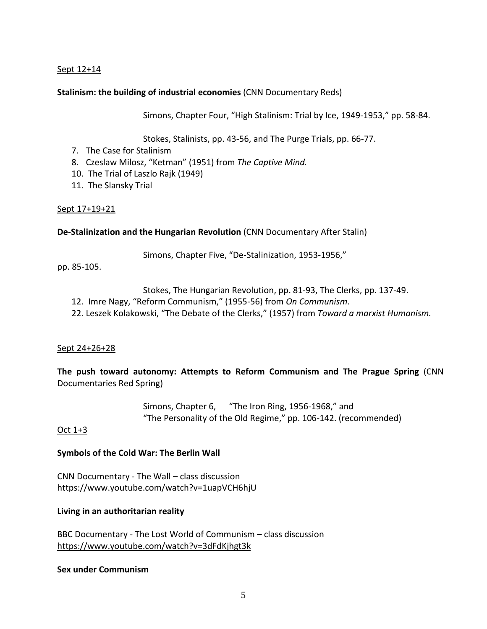## Sept 12+14

## **Stalinism: the building of industrial economies** (CNN Documentary Reds)

Simons, Chapter Four, "High Stalinism: Trial by Ice, 1949-1953," pp. 58-84.

Stokes, Stalinists, pp. 43-56, and The Purge Trials, pp. 66-77.

- 7. The Case for Stalinism
- 8. Czeslaw Milosz, "Ketman" (1951) from *The Captive Mind.*
- 10. The Trial of Laszlo Rajk (1949)
- 11. The Slansky Trial

## Sept 17+19+21

## **De-Stalinization and the Hungarian Revolution** (CNN Documentary After Stalin)

Simons, Chapter Five, "De-Stalinization, 1953-1956,"

pp. 85-105.

Stokes, The Hungarian Revolution, pp. 81-93, The Clerks, pp. 137-49.

- 12. Imre Nagy, "Reform Communism," (1955-56) from *On Communism*.
- 22. Leszek Kolakowski, "The Debate of the Clerks," (1957) from *Toward a marxist Humanism.*

## Sept 24+26+28

**The push toward autonomy: Attempts to Reform Communism and The Prague Spring** (CNN Documentaries Red Spring)

> Simons, Chapter 6, "The Iron Ring, 1956-1968," and "The Personality of the Old Regime," pp. 106-142. (recommended)

## Oct 1+3

## **Symbols of the Cold War: The Berlin Wall**

CNN Documentary - The Wall – class discussion https://www.youtube.com/watch?v=1uapVCH6hjU

## **Living in an authoritarian reality**

BBC Documentary - The Lost World of Communism – class discussion <https://www.youtube.com/watch?v=3dFdKjhgt3k>

## **Sex under Communism**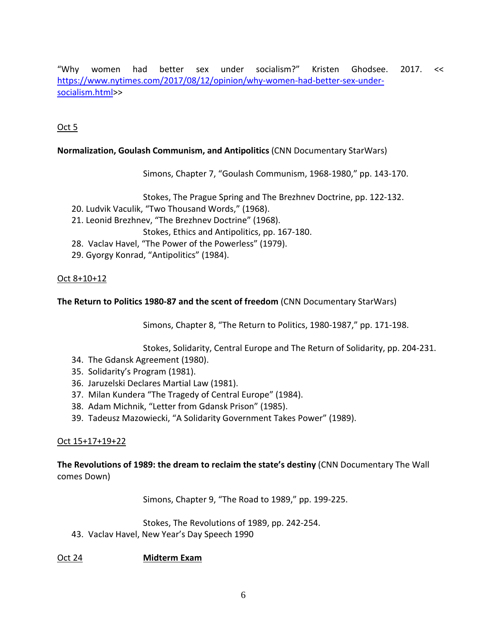"Why women had better sex under socialism?" Kristen Ghodsee. 2017. << [https://www.nytimes.com/2017/08/12/opinion/why-women-had-better-sex-under](https://www.nytimes.com/2017/08/12/opinion/why-women-had-better-sex-under-socialism.html)[socialism.html>](https://www.nytimes.com/2017/08/12/opinion/why-women-had-better-sex-under-socialism.html)>

# Oct 5

# **Normalization, Goulash Communism, and Antipolitics** (CNN Documentary StarWars)

Simons, Chapter 7, "Goulash Communism, 1968-1980," pp. 143-170.

Stokes, The Prague Spring and The Brezhnev Doctrine, pp. 122-132.

- 20. Ludvik Vaculik, "Two Thousand Words," (1968).
- 21. Leonid Brezhnev, "The Brezhnev Doctrine" (1968).

Stokes, Ethics and Antipolitics, pp. 167-180.

- 28. Vaclav Havel, "The Power of the Powerless" (1979).
- 29. Gyorgy Konrad, "Antipolitics" (1984).

# Oct 8+10+12

**The Return to Politics 1980-87 and the scent of freedom** (CNN Documentary StarWars)

Simons, Chapter 8, "The Return to Politics, 1980-1987," pp. 171-198.

Stokes, Solidarity, Central Europe and The Return of Solidarity, pp. 204-231.

- 34. The Gdansk Agreement (1980).
- 35. Solidarity's Program (1981).
- 36. Jaruzelski Declares Martial Law (1981).
- 37. Milan Kundera "The Tragedy of Central Europe" (1984).
- 38. Adam Michnik, "Letter from Gdansk Prison" (1985).
- 39. Tadeusz Mazowiecki, "A Solidarity Government Takes Power" (1989).

# Oct 15+17+19+22

**The Revolutions of 1989: the dream to reclaim the state's destiny** (CNN Documentary The Wall comes Down)

Simons, Chapter 9, "The Road to 1989," pp. 199-225.

Stokes, The Revolutions of 1989, pp. 242-254.

43. Vaclav Havel, New Year's Day Speech 1990

# Oct 24 **Midterm Exam**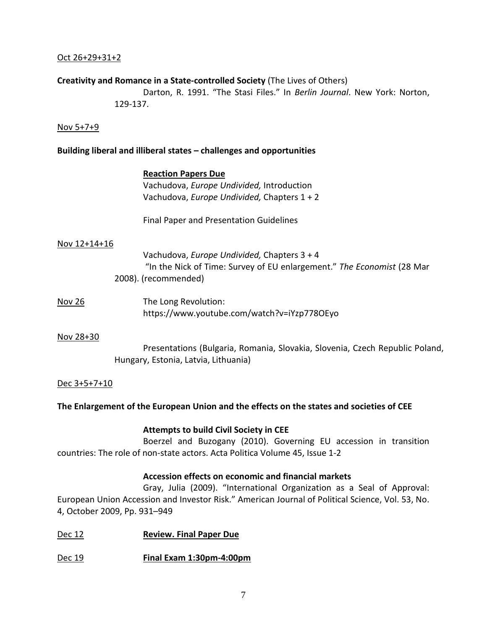## Oct 26+29+31+2

## **Creativity and Romance in a State-controlled Society** (The Lives of Others)

Darton, R. 1991. "The Stasi Files." In *Berlin Journal*. New York: Norton, 129-137.

## Nov 5+7+9

## **Building liberal and illiberal states – challenges and opportunities**

#### **Reaction Papers Due**

Vachudova, *Europe Undivided,* Introduction Vachudova, *Europe Undivided,* Chapters 1 + 2

Final Paper and Presentation Guidelines

#### Nov 12+14+16

Vachudova, *Europe Undivided,* Chapters 3 + 4 "In the Nick of Time: Survey of EU enlargement." *The Economist* (28 Mar 2008). (recommended)

Nov 26 The Long Revolution: https://www.youtube.com/watch?v=iYzp778OEyo

## Nov 28+30

Presentations (Bulgaria, Romania, Slovakia, Slovenia, Czech Republic Poland, Hungary, Estonia, Latvia, Lithuania)

## Dec 3+5+7+10

## **The Enlargement of the European Union and the effects on the states and societies of CEE**

## **Attempts to build Civil Society in CEE**

Boerzel and Buzogany (2010). Governing EU accession in transition countries: The role of non-state actors. Acta Politica Volume 45, Issue 1-2

## **Accession effects on economic and financial markets**

Gray, Julia (2009). "International Organization as a Seal of Approval: European Union Accession and Investor Risk." American Journal of Political Science, Vol. 53, No. 4, October 2009, Pp. 931–949

- Dec 12 **Review. Final Paper Due**
- Dec 19 **Final Exam 1:30pm-4:00pm**